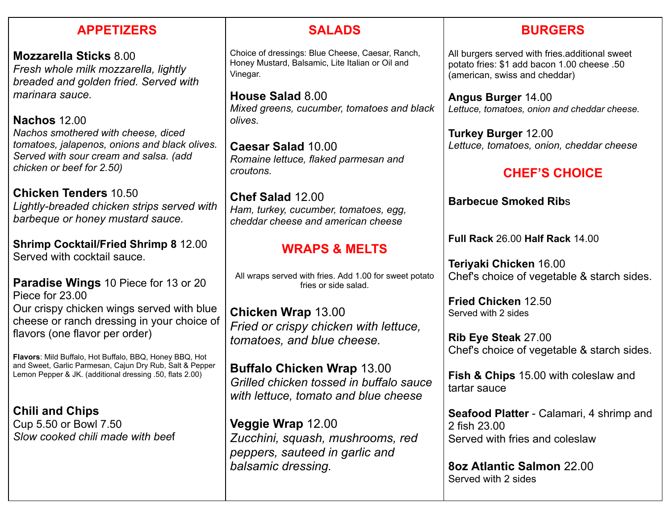### **APPETIZERS**

**Mozzarella Sticks** 8.00 *Fresh whole milk mozzarella, lightly breaded and golden fried. Served with marinara sauce.*

**Nachos** 12.00 *Nachos smothered with cheese, diced tomatoes, jalapenos, onions and black olives. Served with sour cream and salsa. (add chicken or beef for 2.50)*

**Chicken Tenders** 10.50 *Lightly-breaded chicken strips served with barbeque or honey mustard sauce.*

**Shrimp Cocktail/Fried Shrimp 8** 12.00 Served with cocktail sauce.

**Paradise Wings** 10 Piece for 13 or 20 Piece for 23.00 Our crispy chicken wings served with blue cheese or ranch dressing in your choice of flavors (one flavor per order)

**Flavors**: Mild Buffalo, Hot Buffalo, BBQ, Honey BBQ, Hot and Sweet, Garlic Parmesan, Cajun Dry Rub, Salt & Pepper Lemon Pepper & JK. (additional dressing .50, flats 2.00)

**Chili and Chips** Cup 5.50 or Bowl 7.50 *Slow cooked chili made with bee*f

### **SALADS**

Choice of dressings: Blue Cheese, Caesar, Ranch, Honey Mustard, Balsamic, Lite Italian or Oil and Vinegar.

**House Salad** 8.00 *Mixed greens, cucumber, tomatoes and black olives.*

**Caesar Salad** 10.00 *Romaine lettuce, flaked parmesan and croutons.*

**Chef Salad** 12.00 *Ham, turkey, cucumber, tomatoes, egg, cheddar cheese and american cheese*

# **WRAPS & MELTS**

All wraps served with fries. Add 1.00 for sweet potato fries or side salad.

**Chicken Wrap** 13.00 *Fried or crispy chicken with lettuce, tomatoes, and blue cheese.*

**Buffalo Chicken Wrap** 13.00 *Grilled chicken tossed in buffalo sauce with lettuce, tomato and blue cheese*

**Veggie Wrap** 12.00 *Zucchini, squash, mushrooms, red peppers, sauteed in garlic and balsamic dressing.*

## **BURGERS**

All burgers served with fries.additional sweet potato fries: \$1 add bacon 1.00 cheese .50 (american, swiss and cheddar)

**Angus Burger** 14.00 *Lettuce, tomatoes, onion and cheddar cheese.*

**Turkey Burger** 12.00 *Lettuce, tomatoes, onion, cheddar cheese*

## **CHEF'S CHOICE**

**Barbecue Smoked Rib**s

**Full Rack** 26.00 **Half Rack** 14.00

**Teriyaki Chicken** 16.00 Chef's choice of vegetable & starch sides.

**Fried Chicken** 12.50 Served with 2 sides

**Rib Eye Steak** 27.00 Chef's choice of vegetable & starch sides.

**Fish & Chips** 15.00 with coleslaw and tartar sauce

**Seafood Platter** - Calamari, 4 shrimp and 2 fish 23.00 Served with fries and coleslaw

**8oz Atlantic Salmon** 22.00 Served with 2 sides